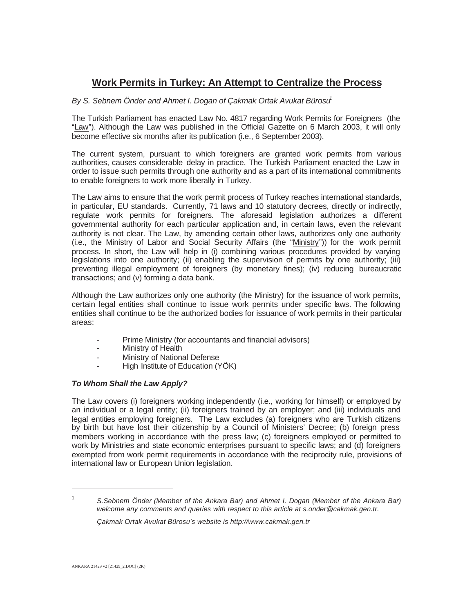# **Work Permits in Turkey: An Attempt to Centralize the Process**

## *By S. Sebnem Önder and Ahmet I. Dogan of Cakmak Ortak Avukat Bürosu***<sup>1</sup>**

The Turkish Parliament has enacted Law No. 4817 regarding Work Permits for Foreigners (the "Law"). Although the Law was published in the Official Gazette on 6 March 2003, it will only become effective six months after its publication (i.e., 6 September 2003).

The current system, pursuant to which foreigners are granted work permits from various authorities, causes considerable delay in practice. The Turkish Parliament enacted the Law in order to issue such permits through one authority and as a part of its international commitments to enable foreigners to work more liberally in Turkey.

The Law aims to ensure that the work permit process of Turkey reaches international standards, in particular, EU standards. Currently, 71 laws and 10 statutory decrees, directly or indirectly, regulate work permits for foreigners. The aforesaid legislation authorizes a different governmental authority for each particular application and, in certain laws, even the relevant authority is not clear. The Law, by amending certain other laws, authorizes only one authority (i.e., the Ministry of Labor and Social Security Affairs (the "Ministry")) for the work permit process. In short, the Law will help in (i) combining various procedures provided by varying legislations into one authority; (ii) enabling the supervision of permits by one authority; (iii) preventing illegal employment of foreigners (by monetary fines); (iv) reducing bureaucratic transactions; and (v) forming a data bank.

Although the Law authorizes only one authority (the Ministry) for the issuance of work permits, certain legal entities shall continue to issue work permits under specific laws. The following entities shall continue to be the authorized bodies for issuance of work permits in their particular areas:

- Prime Ministry (for accountants and financial advisors)
- Ministry of Health
- Ministry of National Defense
- High Institute of Education (YÖK)

## *To Whom Shall the Law Apply?*

The Law covers (i) foreigners working independently (i.e., working for himself) or employed by an individual or a legal entity; (ii) foreigners trained by an employer; and (iii) individuals and legal entities employing foreigners. The Law excludes (a) foreigners who are Turkish citizens by birth but have lost their citizenship by a Council of Ministers' Decree; (b) foreign press members working in accordance with the press law; (c) foreigners employed or permitted to work by Ministries and state economic enterprises pursuant to specific laws; and (d) foreigners exempted from work permit requirements in accordance with the reciprocity rule, provisions of international law or European Union legislation.

<sup>1</sup> *S.Sebnem Önder (Member of the Ankara Bar) and Ahmet I. Dogan (Member of the Ankara Bar) welcome any comments and queries with respect to this article at s.onder@cakmak.gen.tr.*

*Çakmak Ortak Avukat Bürosu's website is http://www.cakmak.gen.tr*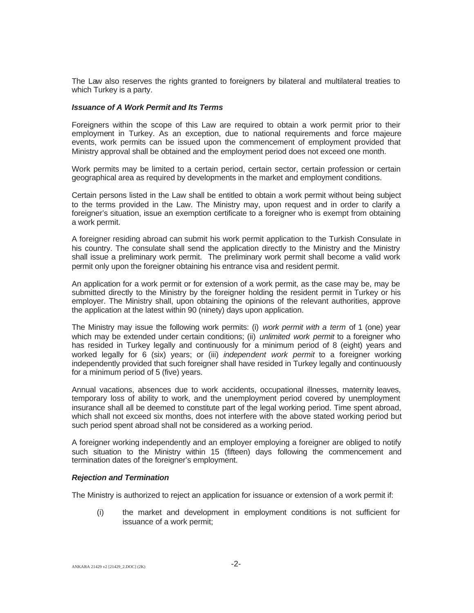The Law also reserves the rights granted to foreigners by bilateral and multilateral treaties to which Turkey is a party.

#### *Issuance of A Work Permit and Its Terms*

Foreigners within the scope of this Law are required to obtain a work permit prior to their employment in Turkey. As an exception, due to national requirements and force majeure events, work permits can be issued upon the commencement of employment provided that Ministry approval shall be obtained and the employment period does not exceed one month.

Work permits may be limited to a certain period, certain sector, certain profession or certain geographical area as required by developments in the market and employment conditions.

Certain persons listed in the Law shall be entitled to obtain a work permit without being subject to the terms provided in the Law. The Ministry may, upon request and in order to clarify a foreigner's situation, issue an exemption certificate to a foreigner who is exempt from obtaining a work permit.

A foreigner residing abroad can submit his work permit application to the Turkish Consulate in his country. The consulate shall send the application directly to the Ministry and the Ministry shall issue a preliminary work permit. The preliminary work permit shall become a valid work permit only upon the foreigner obtaining his entrance visa and resident permit.

An application for a work permit or for extension of a work permit, as the case may be, may be submitted directly to the Ministry by the foreigner holding the resident permit in Turkey or his employer. The Ministry shall, upon obtaining the opinions of the relevant authorities, approve the application at the latest within 90 (ninety) days upon application.

The Ministry may issue the following work permits: (i) *work permit with a term* of 1 (one) year which may be extended under certain conditions; (ii) *unlimited work permit* to a foreigner who has resided in Turkey legally and continuously for a minimum period of 8 (eight) years and worked legally for 6 (six) years; or (iii) *independent work permit* to a foreigner working independently provided that such foreigner shall have resided in Turkey legally and continuously for a minimum period of 5 (five) years.

Annual vacations, absences due to work accidents, occupational illnesses, maternity leaves, temporary loss of ability to work, and the unemployment period covered by unemployment insurance shall all be deemed to constitute part of the legal working period. Time spent abroad, which shall not exceed six months, does not interfere with the above stated working period but such period spent abroad shall not be considered as a working period.

A foreigner working independently and an employer employing a foreigner are obliged to notify such situation to the Ministry within 15 (fifteen) days following the commencement and termination dates of the foreigner's employment.

## *Rejection and Termination*

The Ministry is authorized to reject an application for issuance or extension of a work permit if:

(i) the market and development in employment conditions is not sufficient for issuance of a work permit;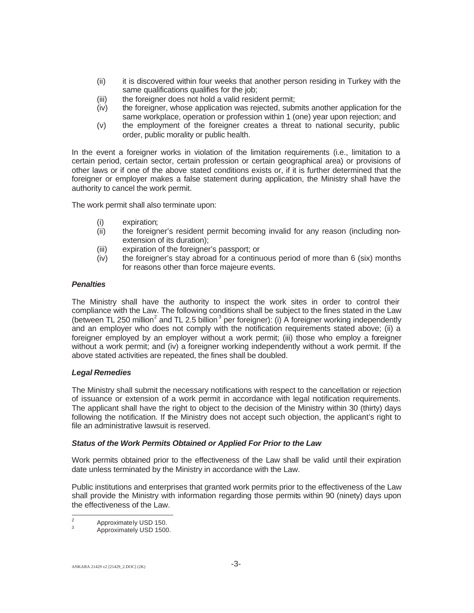- (ii) it is discovered within four weeks that another person residing in Turkey with the same qualifications qualifies for the job;
- (iii) the foreigner does not hold a valid resident permit;
- (iv) the foreigner, whose application was rejected, submits another application for the same workplace, operation or profession within 1 (one) year upon rejection; and
- (v) the employment of the foreigner creates a threat to national security, public order, public morality or public health.

In the event a foreigner works in violation of the limitation requirements (i.e., limitation to a certain period, certain sector, certain profession or certain geographical area) or provisions of other laws or if one of the above stated conditions exists or, if it is further determined that the foreigner or employer makes a false statement during application, the Ministry shall have the authority to cancel the work permit.

The work permit shall also terminate upon:

- (i) expiration;
- (ii) the foreigner's resident permit becoming invalid for any reason (including nonextension of its duration);
- (iii) expiration of the foreigner's passport; or
- (iv) the foreigner's stay abroad for a continuous period of more than 6 (six) months for reasons other than force majeure events.

## *Penalties*

The Ministry shall have the authority to inspect the work sites in order to control their compliance with the Law. The following conditions shall be subject to the fines stated in the Law (between TL 250 million<sup>2</sup> and TL 2.5 billion<sup>3</sup> per foreigner): (i) A foreigner working independently and an employer who does not comply with the notification requirements stated above; (ii) a foreigner employed by an employer without a work permit; (iii) those who employ a foreigner without a work permit; and (iv) a foreigner working independently without a work permit. If the above stated activities are repeated, the fines shall be doubled.

## *Legal Remedies*

The Ministry shall submit the necessary notifications with respect to the cancellation or rejection of issuance or extension of a work permit in accordance with legal notification requirements. The applicant shall have the right to object to the decision of the Ministry within 30 (thirty) days following the notification. If the Ministry does not accept such objection, the applicant's right to file an administrative lawsuit is reserved.

## *Status of the Work Permits Obtained or Applied For Prior to the Law*

Work permits obtained prior to the effectiveness of the Law shall be valid until their expiration date unless terminated by the Ministry in accordance with the Law.

Public institutions and enterprises that granted work permits prior to the effectiveness of the Law shall provide the Ministry with information regarding those permits within 90 (ninety) days upon the effectiveness of the Law.

 $\frac{2}{3}$  Approximately USD 150.<br>Approximately USD 1500.